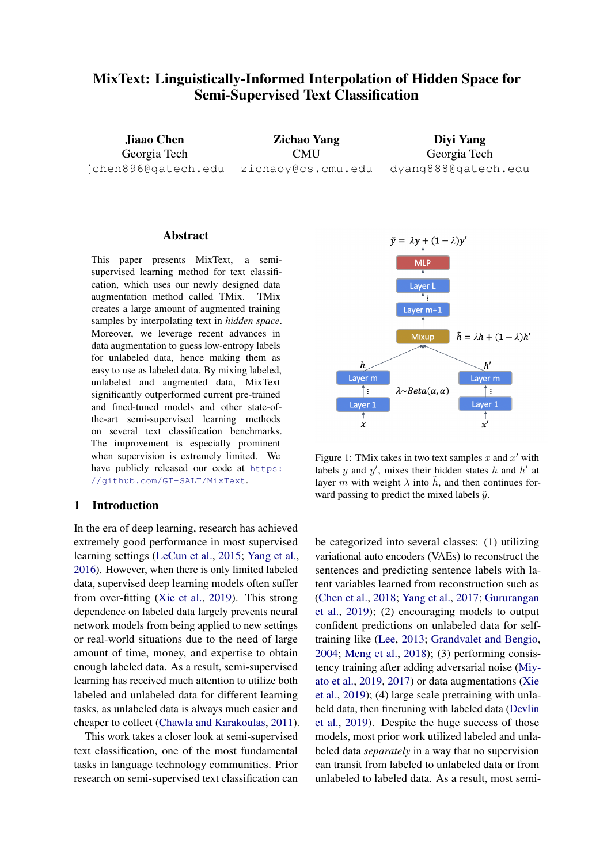# <span id="page-0-1"></span>MixText: Linguistically-Informed Interpolation of Hidden Space for Semi-Supervised Text Classification

Jiaao Chen Georgia Tech jchen896@gatech.edu

Zichao Yang **CMU** zichaoy@cs.cmu.edu

Diyi Yang Georgia Tech dyang888@gatech.edu

## Abstract

This paper presents MixText, a semisupervised learning method for text classification, which uses our newly designed data augmentation method called TMix. TMix creates a large amount of augmented training samples by interpolating text in *hidden space*. Moreover, we leverage recent advances in data augmentation to guess low-entropy labels for unlabeled data, hence making them as easy to use as labeled data. By mixing labeled, unlabeled and augmented data, MixText significantly outperformed current pre-trained and fined-tuned models and other state-ofthe-art semi-supervised learning methods on several text classification benchmarks. The improvement is especially prominent when supervision is extremely limited. We have publicly released our code at [https:](https://github.com/GT-SALT/MixText) [//github.com/GT-SALT/MixText](https://github.com/GT-SALT/MixText).

#### 1 Introduction

In the era of deep learning, research has achieved extremely good performance in most supervised learning settings [\(LeCun et al.,](#page-9-0) [2015;](#page-9-0) [Yang et al.,](#page-10-0) [2016\)](#page-10-0). However, when there is only limited labeled data, supervised deep learning models often suffer from over-fitting [\(Xie et al.,](#page-10-1) [2019\)](#page-10-1). This strong dependence on labeled data largely prevents neural network models from being applied to new settings or real-world situations due to the need of large amount of time, money, and expertise to obtain enough labeled data. As a result, semi-supervised learning has received much attention to utilize both labeled and unlabeled data for different learning tasks, as unlabeled data is always much easier and cheaper to collect [\(Chawla and Karakoulas,](#page-8-0) [2011\)](#page-8-0).

This work takes a closer look at semi-supervised text classification, one of the most fundamental tasks in language technology communities. Prior research on semi-supervised text classification can

<span id="page-0-0"></span>

Figure 1: TMix takes in two text samples  $x$  and  $x'$  with labels y and  $y'$ , mixes their hidden states h and h' at layer m with weight  $\lambda$  into  $\tilde{h}$ , and then continues forward passing to predict the mixed labels  $\tilde{y}$ .

be categorized into several classes: (1) utilizing variational auto encoders (VAEs) to reconstruct the sentences and predicting sentence labels with latent variables learned from reconstruction such as [\(Chen et al.,](#page-9-1) [2018;](#page-9-1) [Yang et al.,](#page-10-2) [2017;](#page-10-2) [Gururangan](#page-9-2) [et al.,](#page-9-2) [2019\)](#page-9-2); (2) encouraging models to output confident predictions on unlabeled data for selftraining like [\(Lee,](#page-9-3) [2013;](#page-9-3) [Grandvalet and Bengio,](#page-9-4) [2004;](#page-9-4) [Meng et al.,](#page-9-5) [2018\)](#page-9-5); (3) performing consistency training after adding adversarial noise [\(Miy](#page-10-3)[ato et al.,](#page-10-3) [2019,](#page-10-3) [2017\)](#page-9-6) or data augmentations [\(Xie](#page-10-1) [et al.,](#page-10-1) [2019\)](#page-10-1); (4) large scale pretraining with unlabeld data, then finetuning with labeled data [\(Devlin](#page-9-7) [et al.,](#page-9-7) [2019\)](#page-9-7). Despite the huge success of those models, most prior work utilized labeled and unlabeled data *separately* in a way that no supervision can transit from labeled to unlabeled data or from unlabeled to labeled data. As a result, most semi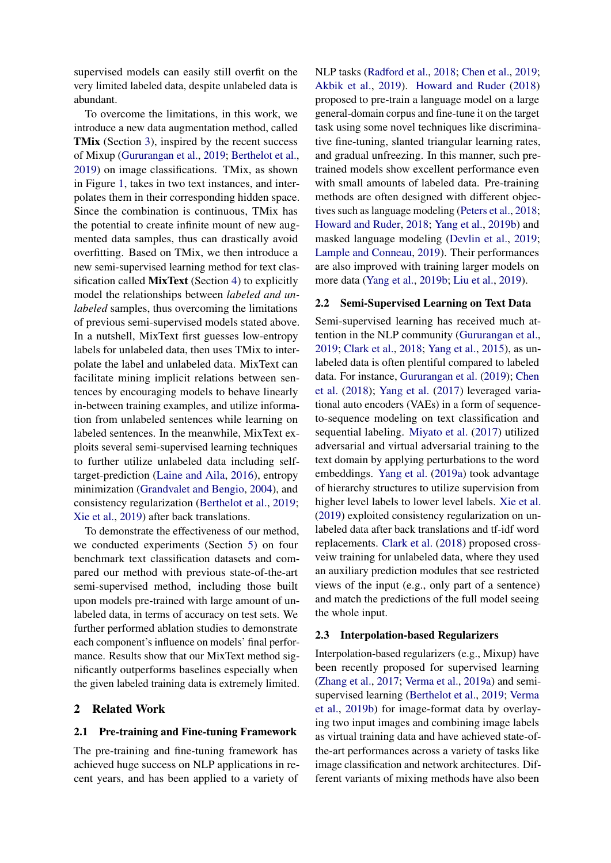supervised models can easily still overfit on the very limited labeled data, despite unlabeled data is abundant.

To overcome the limitations, in this work, we introduce a new data augmentation method, called TMix (Section [3\)](#page-2-0), inspired by the recent success of Mixup [\(Gururangan et al.,](#page-9-2) [2019;](#page-9-2) [Berthelot et al.,](#page-8-1) [2019\)](#page-8-1) on image classifications. TMix, as shown in Figure [1,](#page-0-0) takes in two text instances, and interpolates them in their corresponding hidden space. Since the combination is continuous, TMix has the potential to create infinite mount of new augmented data samples, thus can drastically avoid overfitting. Based on TMix, we then introduce a new semi-supervised learning method for text classification called MixText (Section [4\)](#page-3-0) to explicitly model the relationships between *labeled and unlabeled* samples, thus overcoming the limitations of previous semi-supervised models stated above. In a nutshell, MixText first guesses low-entropy labels for unlabeled data, then uses TMix to interpolate the label and unlabeled data. MixText can facilitate mining implicit relations between sentences by encouraging models to behave linearly in-between training examples, and utilize information from unlabeled sentences while learning on labeled sentences. In the meanwhile, MixText exploits several semi-supervised learning techniques to further utilize unlabeled data including selftarget-prediction [\(Laine and Aila,](#page-9-8) [2016\)](#page-9-8), entropy minimization [\(Grandvalet and Bengio,](#page-9-4) [2004\)](#page-9-4), and consistency regularization [\(Berthelot et al.,](#page-8-1) [2019;](#page-8-1) [Xie et al.,](#page-10-1) [2019\)](#page-10-1) after back translations.

To demonstrate the effectiveness of our method, we conducted experiments (Section [5\)](#page-5-0) on four benchmark text classification datasets and compared our method with previous state-of-the-art semi-supervised method, including those built upon models pre-trained with large amount of unlabeled data, in terms of accuracy on test sets. We further performed ablation studies to demonstrate each component's influence on models' final performance. Results show that our MixText method significantly outperforms baselines especially when the given labeled training data is extremely limited.

### 2 Related Work

#### 2.1 Pre-training and Fine-tuning Framework

The pre-training and fine-tuning framework has achieved huge success on NLP applications in recent years, and has been applied to a variety of NLP tasks [\(Radford et al.,](#page-10-4) [2018;](#page-10-4) [Chen et al.,](#page-8-2) [2019;](#page-8-2) [Akbik et al.,](#page-8-3) [2019\)](#page-8-3). [Howard and Ruder](#page-9-9) [\(2018\)](#page-9-9) proposed to pre-train a language model on a large general-domain corpus and fine-tune it on the target task using some novel techniques like discriminative fine-tuning, slanted triangular learning rates, and gradual unfreezing. In this manner, such pretrained models show excellent performance even with small amounts of labeled data. Pre-training methods are often designed with different objectives such as language modeling [\(Peters et al.,](#page-10-5) [2018;](#page-10-5) [Howard and Ruder,](#page-9-9) [2018;](#page-9-9) [Yang et al.,](#page-10-6) [2019b\)](#page-10-6) and masked language modeling [\(Devlin et al.,](#page-9-7) [2019;](#page-9-7) [Lample and Conneau,](#page-9-10) [2019\)](#page-9-10). Their performances are also improved with training larger models on more data [\(Yang et al.,](#page-10-6) [2019b;](#page-10-6) [Liu et al.,](#page-9-11) [2019\)](#page-9-11).

#### 2.2 Semi-Supervised Learning on Text Data

Semi-supervised learning has received much attention in the NLP community [\(Gururangan et al.,](#page-9-2) [2019;](#page-9-2) [Clark et al.,](#page-9-12) [2018;](#page-9-12) [Yang et al.,](#page-10-7) [2015\)](#page-10-7), as unlabeled data is often plentiful compared to labeled data. For instance, [Gururangan et al.](#page-9-2) [\(2019\)](#page-9-2); [Chen](#page-9-1) [et al.](#page-9-1) [\(2018\)](#page-9-1); [Yang et al.](#page-10-2) [\(2017\)](#page-10-2) leveraged variational auto encoders (VAEs) in a form of sequenceto-sequence modeling on text classification and sequential labeling. [Miyato et al.](#page-9-6) [\(2017\)](#page-9-6) utilized adversarial and virtual adversarial training to the text domain by applying perturbations to the word embeddings. [Yang et al.](#page-10-8) [\(2019a\)](#page-10-8) took advantage of hierarchy structures to utilize supervision from higher level labels to lower level labels. [Xie et al.](#page-10-1) [\(2019\)](#page-10-1) exploited consistency regularization on unlabeled data after back translations and tf-idf word replacements. [Clark et al.](#page-9-12) [\(2018\)](#page-9-12) proposed crossveiw training for unlabeled data, where they used an auxiliary prediction modules that see restricted views of the input (e.g., only part of a sentence) and match the predictions of the full model seeing the whole input.

#### 2.3 Interpolation-based Regularizers

Interpolation-based regularizers (e.g., Mixup) have been recently proposed for supervised learning [\(Zhang et al.,](#page-10-9) [2017;](#page-10-9) [Verma et al.,](#page-10-10) [2019a\)](#page-10-10) and semisupervised learning [\(Berthelot et al.,](#page-8-1) [2019;](#page-8-1) [Verma](#page-10-11) [et al.,](#page-10-11) [2019b\)](#page-10-11) for image-format data by overlaying two input images and combining image labels as virtual training data and have achieved state-ofthe-art performances across a variety of tasks like image classification and network architectures. Different variants of mixing methods have also been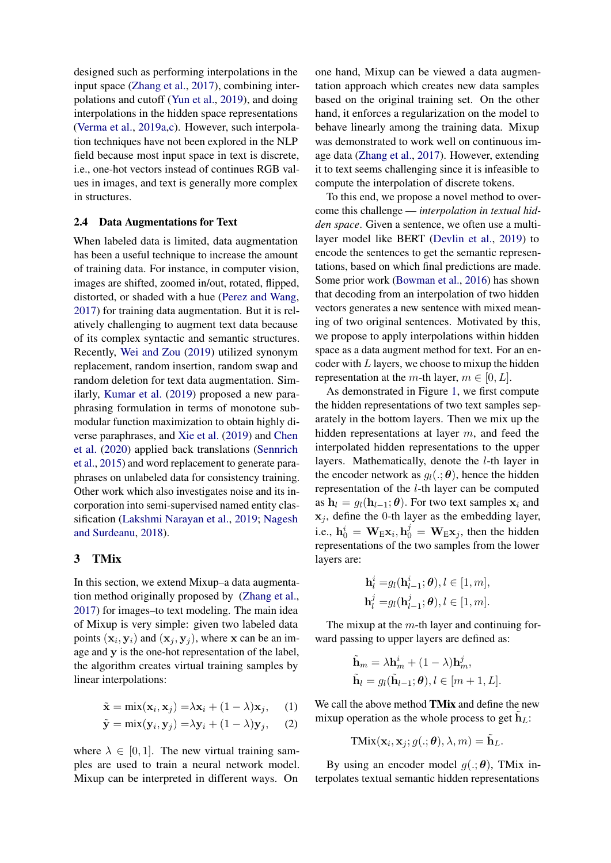designed such as performing interpolations in the input space [\(Zhang et al.,](#page-10-9) [2017\)](#page-10-9), combining interpolations and cutoff [\(Yun et al.,](#page-10-12) [2019\)](#page-10-12), and doing interpolations in the hidden space representations [\(Verma et al.,](#page-10-10) [2019a,](#page-10-10)[c\)](#page-10-13). However, such interpolation techniques have not been explored in the NLP field because most input space in text is discrete, i.e., one-hot vectors instead of continues RGB values in images, and text is generally more complex in structures.

#### 2.4 Data Augmentations for Text

When labeled data is limited, data augmentation has been a useful technique to increase the amount of training data. For instance, in computer vision, images are shifted, zoomed in/out, rotated, flipped, distorted, or shaded with a hue [\(Perez and Wang,](#page-10-14) [2017\)](#page-10-14) for training data augmentation. But it is relatively challenging to augment text data because of its complex syntactic and semantic structures. Recently, [Wei and Zou](#page-10-15) [\(2019\)](#page-10-15) utilized synonym replacement, random insertion, random swap and random deletion for text data augmentation. Similarly, [Kumar et al.](#page-9-13) [\(2019\)](#page-9-13) proposed a new paraphrasing formulation in terms of monotone submodular function maximization to obtain highly diverse paraphrases, and [Xie et al.](#page-10-1) [\(2019\)](#page-10-1) and [Chen](#page-9-14) [et al.](#page-9-14) [\(2020\)](#page-9-14) applied back translations [\(Sennrich](#page-10-16) [et al.,](#page-10-16) [2015\)](#page-10-16) and word replacement to generate paraphrases on unlabeled data for consistency training. Other work which also investigates noise and its incorporation into semi-supervised named entity classification [\(Lakshmi Narayan et al.,](#page-9-15) [2019;](#page-9-15) [Nagesh](#page-10-17) [and Surdeanu,](#page-10-17) [2018\)](#page-10-17).

## <span id="page-2-0"></span>3 TMix

In this section, we extend Mixup–a data augmentation method originally proposed by [\(Zhang et al.,](#page-10-9) [2017\)](#page-10-9) for images–to text modeling. The main idea of Mixup is very simple: given two labeled data points  $(\mathbf{x}_i, \mathbf{y}_i)$  and  $(\mathbf{x}_j, \mathbf{y}_j)$ , where x can be an image and y is the one-hot representation of the label, the algorithm creates virtual training samples by linear interpolations:

$$
\tilde{\mathbf{x}} = \min(\mathbf{x}_i, \mathbf{x}_j) = \lambda \mathbf{x}_i + (1 - \lambda) \mathbf{x}_j, \quad (1)
$$

$$
\tilde{\mathbf{y}} = \min(\mathbf{y}_i, \mathbf{y}_j) = \lambda \mathbf{y}_i + (1 - \lambda) \mathbf{y}_j, \quad (2)
$$

where  $\lambda \in [0, 1]$ . The new virtual training samples are used to train a neural network model. Mixup can be interpreted in different ways. On

one hand, Mixup can be viewed a data augmentation approach which creates new data samples based on the original training set. On the other hand, it enforces a regularization on the model to behave linearly among the training data. Mixup was demonstrated to work well on continuous image data [\(Zhang et al.,](#page-10-9) [2017\)](#page-10-9). However, extending it to text seems challenging since it is infeasible to compute the interpolation of discrete tokens.

To this end, we propose a novel method to overcome this challenge — *interpolation in textual hidden space*. Given a sentence, we often use a multilayer model like BERT [\(Devlin et al.,](#page-9-7) [2019\)](#page-9-7) to encode the sentences to get the semantic representations, based on which final predictions are made. Some prior work [\(Bowman et al.,](#page-8-4) [2016\)](#page-8-4) has shown that decoding from an interpolation of two hidden vectors generates a new sentence with mixed meaning of two original sentences. Motivated by this, we propose to apply interpolations within hidden space as a data augment method for text. For an encoder with  $L$  layers, we choose to mixup the hidden representation at the m-th layer,  $m \in [0, L]$ .

As demonstrated in Figure [1,](#page-0-0) we first compute the hidden representations of two text samples separately in the bottom layers. Then we mix up the hidden representations at layer m, and feed the interpolated hidden representations to the upper layers. Mathematically, denote the l-th layer in the encoder network as  $g_l(.; \theta)$ , hence the hidden representation of the l-th layer can be computed as  $\mathbf{h}_l = g_l(\mathbf{h}_{l-1}; \boldsymbol{\theta})$ . For two text samples  $\mathbf{x}_i$  and  $x_j$ , define the 0-th layer as the embedding layer, i.e.,  $h_0^i = \mathbf{W}_E \mathbf{x}_i, h_0^j = \mathbf{W}_E \mathbf{x}_j$ , then the hidden representations of the two samples from the lower layers are:

$$
\begin{aligned} \mathbf{h}_l^i =& g_l(\mathbf{h}_{l-1}^i;\boldsymbol{\theta}), l \in [1, m],\\ \mathbf{h}_l^j =& g_l(\mathbf{h}_{l-1}^j;\boldsymbol{\theta}), l \in [1, m]. \end{aligned}
$$

The mixup at the  $m$ -th layer and continuing forward passing to upper layers are defined as:

$$
\tilde{\mathbf{h}}_m = \lambda \mathbf{h}_m^i + (1 - \lambda) \mathbf{h}_m^j,
$$
  
\n
$$
\tilde{\mathbf{h}}_l = g_l(\tilde{\mathbf{h}}_{l-1}; \boldsymbol{\theta}), l \in [m+1, L].
$$

<span id="page-2-2"></span><span id="page-2-1"></span>We call the above method TMix and define the new mixup operation as the whole process to get  $\tilde{\mathbf{h}}_L$ :

$$
TMix(\mathbf{x}_i,\mathbf{x}_j; g(.;\boldsymbol{\theta}), \lambda, m) = \tilde{\mathbf{h}}_L.
$$

By using an encoder model  $g(.;\boldsymbol{\theta})$ , TMix interpolates textual semantic hidden representations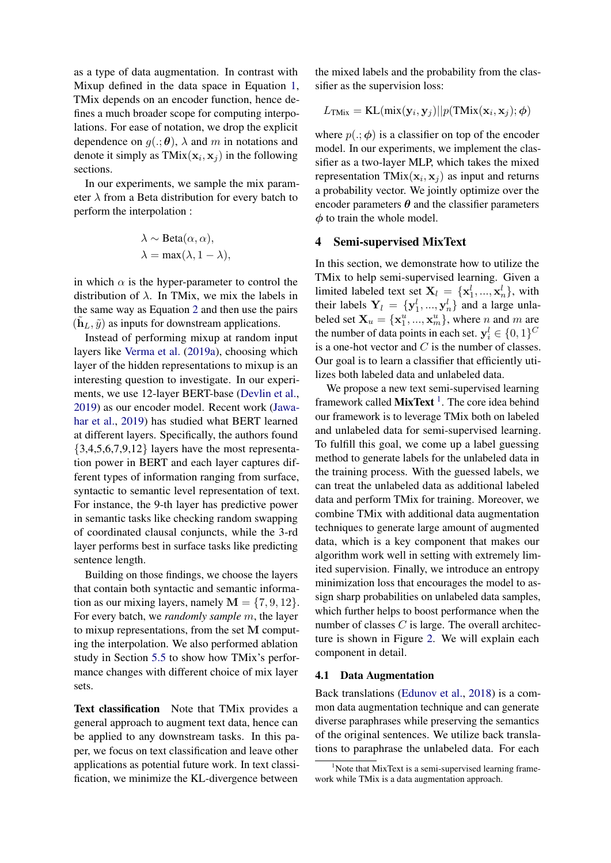as a type of data augmentation. In contrast with Mixup defined in the data space in Equation [1,](#page-2-1) TMix depends on an encoder function, hence defines a much broader scope for computing interpolations. For ease of notation, we drop the explicit dependence on  $g(.;\boldsymbol{\theta})$ ,  $\lambda$  and m in notations and denote it simply as  $\text{TMix}(\mathbf{x}_i, \mathbf{x}_j)$  in the following sections.

In our experiments, we sample the mix parameter  $\lambda$  from a Beta distribution for every batch to perform the interpolation :

$$
\lambda \sim \text{Beta}(\alpha, \alpha),
$$
  

$$
\lambda = \max(\lambda, 1 - \lambda),
$$

in which  $\alpha$  is the hyper-parameter to control the distribution of  $\lambda$ . In TMix, we mix the labels in the same way as Equation [2](#page-2-2) and then use the pairs  $(\tilde{\mathbf{h}}_L, \tilde{y})$  as inputs for downstream applications.

Instead of performing mixup at random input layers like [Verma et al.](#page-10-10) [\(2019a\)](#page-10-10), choosing which layer of the hidden representations to mixup is an interesting question to investigate. In our experiments, we use 12-layer BERT-base [\(Devlin et al.,](#page-9-7) [2019\)](#page-9-7) as our encoder model. Recent work [\(Jawa](#page-9-16)[har et al.,](#page-9-16) [2019\)](#page-9-16) has studied what BERT learned at different layers. Specifically, the authors found  ${3,4,5,6,7,9,12}$  layers have the most representation power in BERT and each layer captures different types of information ranging from surface, syntactic to semantic level representation of text. For instance, the 9-th layer has predictive power in semantic tasks like checking random swapping of coordinated clausal conjuncts, while the 3-rd layer performs best in surface tasks like predicting sentence length.

Building on those findings, we choose the layers that contain both syntactic and semantic information as our mixing layers, namely  $M = \{7, 9, 12\}.$ For every batch, we *randomly sample* m, the layer to mixup representations, from the set M computing the interpolation. We also performed ablation study in Section [5.5](#page-7-0) to show how TMix's performance changes with different choice of mix layer sets.

Text classification Note that TMix provides a general approach to augment text data, hence can be applied to any downstream tasks. In this paper, we focus on text classification and leave other applications as potential future work. In text classification, we minimize the KL-divergence between

the mixed labels and the probability from the classifier as the supervision loss:

$$
L_{\text{TMix}} = \text{KL}(\text{mix}(\mathbf{y}_i, \mathbf{y}_j)||p(\text{TMix}(\mathbf{x}_i, \mathbf{x}_j); \boldsymbol{\phi})
$$

where  $p(.; \phi)$  is a classifier on top of the encoder model. In our experiments, we implement the classifier as a two-layer MLP, which takes the mixed representation TMix $(x_i, x_j)$  as input and returns a probability vector. We jointly optimize over the encoder parameters  $\theta$  and the classifier parameters  $\phi$  to train the whole model.

## <span id="page-3-0"></span>4 Semi-supervised MixText

In this section, we demonstrate how to utilize the TMix to help semi-supervised learning. Given a limited labeled text set  $X_l = \{x_1^l, ..., x_n^l\}$ , with their labels  $Y_l = \{y_1^l, ..., y_n^l\}$  and a large unlabeled set  $\mathbf{X}_u = {\mathbf{x}_1^u, ..., \mathbf{x}_m^u}$ , where *n* and *m* are the number of data points in each set.  $y_i^l \in \{0, 1\}^C$ is a one-hot vector and  $C$  is the number of classes. Our goal is to learn a classifier that efficiently utilizes both labeled data and unlabeled data.

We propose a new text semi-supervised learning framework called  $MixText$ <sup>[1](#page-0-1)</sup>. The core idea behind our framework is to leverage TMix both on labeled and unlabeled data for semi-supervised learning. To fulfill this goal, we come up a label guessing method to generate labels for the unlabeled data in the training process. With the guessed labels, we can treat the unlabeled data as additional labeled data and perform TMix for training. Moreover, we combine TMix with additional data augmentation techniques to generate large amount of augmented data, which is a key component that makes our algorithm work well in setting with extremely limited supervision. Finally, we introduce an entropy minimization loss that encourages the model to assign sharp probabilities on unlabeled data samples, which further helps to boost performance when the number of classes  $C$  is large. The overall architecture is shown in Figure [2.](#page-4-0) We will explain each component in detail.

#### 4.1 Data Augmentation

Back translations [\(Edunov et al.,](#page-9-17) [2018\)](#page-9-17) is a common data augmentation technique and can generate diverse paraphrases while preserving the semantics of the original sentences. We utilize back translations to paraphrase the unlabeled data. For each

 $1$ Note that MixText is a semi-supervised learning framework while TMix is a data augmentation approach.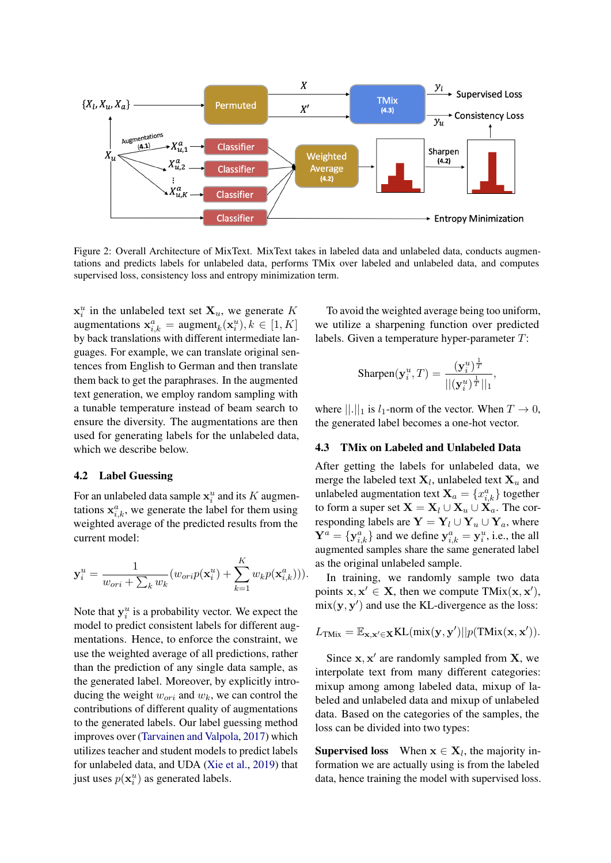<span id="page-4-0"></span>

Figure 2: Overall Architecture of MixText. MixText takes in labeled data and unlabeled data, conducts augmentations and predicts labels for unlabeled data, performs TMix over labeled and unlabeled data, and computes supervised loss, consistency loss and entropy minimization term.

 $\mathbf{x}_i^u$  in the unlabeled text set  $\mathbf{X}_u$ , we generate K augmentations  $\mathbf{x}_{i,k}^a = \text{augment}_k(\mathbf{x}_i^u), k \in [1, K]$ by back translations with different intermediate languages. For example, we can translate original sentences from English to German and then translate them back to get the paraphrases. In the augmented text generation, we employ random sampling with a tunable temperature instead of beam search to ensure the diversity. The augmentations are then used for generating labels for the unlabeled data, which we describe below.

## 4.2 Label Guessing

For an unlabeled data sample  $\mathbf{x}_i^u$  and its K augmentations  $x_{i,k}^a$ , we generate the label for them using weighted average of the predicted results from the current model:

$$
\mathbf{y}_i^u = \frac{1}{w_{ori} + \sum_k w_k} (w_{ori} p(\mathbf{x}_i^u) + \sum_{k=1}^K w_k p(\mathbf{x}_{i,k}^a))).
$$

Note that  $y_i^u$  is a probability vector. We expect the model to predict consistent labels for different augmentations. Hence, to enforce the constraint, we use the weighted average of all predictions, rather than the prediction of any single data sample, as the generated label. Moreover, by explicitly introducing the weight  $w_{ori}$  and  $w_k$ , we can control the contributions of different quality of augmentations to the generated labels. Our label guessing method improves over [\(Tarvainen and Valpola,](#page-10-18) [2017\)](#page-10-18) which utilizes teacher and student models to predict labels for unlabeled data, and UDA [\(Xie et al.,](#page-10-1) [2019\)](#page-10-1) that just uses  $p(\mathbf{x}_i^u)$  as generated labels.

To avoid the weighted average being too uniform, we utilize a sharpening function over predicted labels. Given a temperature hyper-parameter T:

$$
\text{Sharpen}(\mathbf{y}_i^u, T) = \frac{(\mathbf{y}_i^u)^{\frac{1}{T}}}{||(\mathbf{y}_i^u)^{\frac{1}{T}}||_1}
$$

,

where  $||.||_1$  is  $l_1$ -norm of the vector. When  $T \to 0$ , the generated label becomes a one-hot vector.

#### 4.3 TMix on Labeled and Unlabeled Data

After getting the labels for unlabeled data, we merge the labeled text  $X_l$ , unlabeled text  $X_u$  and unlabeled augmentation text  $\mathbf{X}_a = \{x_{i,k}^a\}$  together to form a super set  $X = X_l \cup X_u \cup X_a$ . The corresponding labels are  $\mathbf{Y} = \mathbf{Y}_l \cup \mathbf{Y}_u \cup \mathbf{Y}_a$ , where  $Y^a = \{y^a_{i,k}\}\$ and we define  $y^a_{i,k} = y^u_i$ , i.e., the all augmented samples share the same generated label as the original unlabeled sample.

In training, we randomly sample two data points  $x, x' \in X$ , then we compute TMix $(x, x')$ ,  $mix(y, y')$  and use the KL-divergence as the loss:

$$
L_{\text{TMix}} = \mathbb{E}_{\mathbf{x}, \mathbf{x}' \in \mathbf{X}} \text{KL}(\text{mix}(\mathbf{y}, \mathbf{y}') || p(\text{TMix}(\mathbf{x}, \mathbf{x}')).
$$

Since  $x, x'$  are randomly sampled from  $X$ , we interpolate text from many different categories: mixup among among labeled data, mixup of labeled and unlabeled data and mixup of unlabeled data. Based on the categories of the samples, the loss can be divided into two types:

**Supervised loss** When  $x \in X_l$ , the majority information we are actually using is from the labeled data, hence training the model with supervised loss.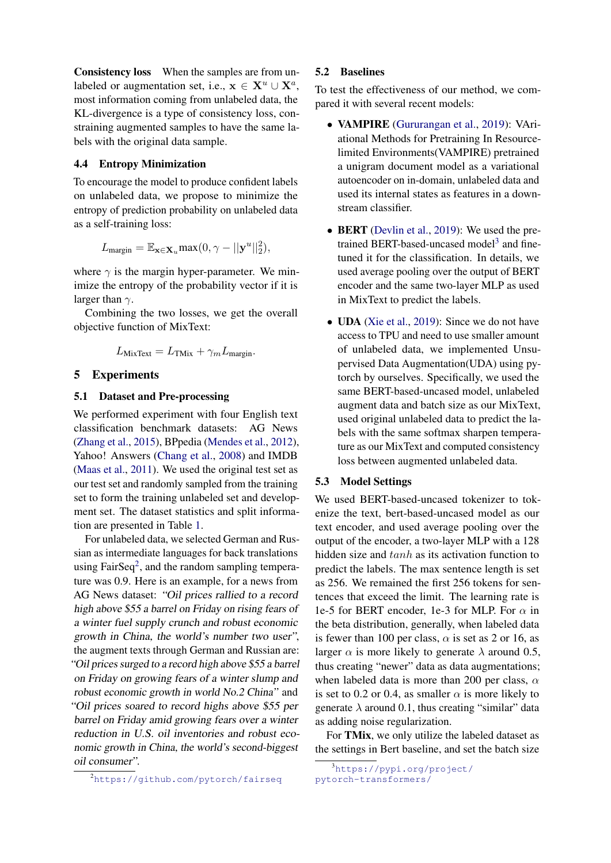Consistency loss When the samples are from unlabeled or augmentation set, i.e.,  $x \in X^u \cup X^a$ , most information coming from unlabeled data, the KL-divergence is a type of consistency loss, constraining augmented samples to have the same labels with the original data sample.

### 4.4 Entropy Minimization

To encourage the model to produce confident labels on unlabeled data, we propose to minimize the entropy of prediction probability on unlabeled data as a self-training loss:

$$
L_{\text{margin}} = \mathbb{E}_{\mathbf{x} \in \mathbf{X}_u} \max(0, \gamma - ||\mathbf{y}^u||_2^2),
$$

where  $\gamma$  is the margin hyper-parameter. We minimize the entropy of the probability vector if it is larger than  $\gamma$ .

Combining the two losses, we get the overall objective function of MixText:

$$
L_{\text{MixText}} = L_{\text{TMix}} + \gamma_m L_{\text{margin}}.
$$

## <span id="page-5-0"></span>5 Experiments

#### 5.1 Dataset and Pre-processing

We performed experiment with four English text classification benchmark datasets: AG News [\(Zhang et al.,](#page-10-19) [2015\)](#page-10-19), BPpedia [\(Mendes et al.,](#page-9-18) [2012\)](#page-9-18), Yahoo! Answers [\(Chang et al.,](#page-8-5) [2008\)](#page-8-5) and IMDB [\(Maas et al.,](#page-9-19) [2011\)](#page-9-19). We used the original test set as our test set and randomly sampled from the training set to form the training unlabeled set and development set. The dataset statistics and split information are presented in Table [1.](#page-6-0)

For unlabeled data, we selected German and Russian as intermediate languages for back translations using FairSeq<sup>[2](#page-0-1)</sup>, and the random sampling temperature was 0.9. Here is an example, for a news from AG News dataset: "Oil prices rallied to a record high above \$55 a barrel on Friday on rising fears of a winter fuel supply crunch and robust economic growth in China, the world's number two user", the augment texts through German and Russian are: "Oil prices surged to a record high above \$55 a barrel on Friday on growing fears of a winter slump and robust economic growth in world No.2 China" and "Oil prices soared to record highs above \$55 per barrel on Friday amid growing fears over a winter reduction in U.S. oil inventories and robust economic growth in China, the world's second-biggest oil consumer".

<sup>2</sup><https://github.com/pytorch/fairseq>

#### 5.2 Baselines

To test the effectiveness of our method, we compared it with several recent models:

- VAMPIRE [\(Gururangan et al.,](#page-9-2) [2019\)](#page-9-2): VAriational Methods for Pretraining In Resourcelimited Environments(VAMPIRE) pretrained a unigram document model as a variational autoencoder on in-domain, unlabeled data and used its internal states as features in a downstream classifier.
- BERT [\(Devlin et al.,](#page-9-7) [2019\)](#page-9-7): We used the pre-trained BERT-based-uncased model<sup>[3](#page-0-1)</sup> and finetuned it for the classification. In details, we used average pooling over the output of BERT encoder and the same two-layer MLP as used in MixText to predict the labels.
- **UDA** [\(Xie et al.,](#page-10-1) [2019\)](#page-10-1): Since we do not have access to TPU and need to use smaller amount of unlabeled data, we implemented Unsupervised Data Augmentation(UDA) using pytorch by ourselves. Specifically, we used the same BERT-based-uncased model, unlabeled augment data and batch size as our MixText, used original unlabeled data to predict the labels with the same softmax sharpen temperature as our MixText and computed consistency loss between augmented unlabeled data.

#### 5.3 Model Settings

We used BERT-based-uncased tokenizer to tokenize the text, bert-based-uncased model as our text encoder, and used average pooling over the output of the encoder, a two-layer MLP with a 128 hidden size and tanh as its activation function to predict the labels. The max sentence length is set as 256. We remained the first 256 tokens for sentences that exceed the limit. The learning rate is 1e-5 for BERT encoder, 1e-3 for MLP. For  $\alpha$  in the beta distribution, generally, when labeled data is fewer than 100 per class,  $\alpha$  is set as 2 or 16, as larger  $\alpha$  is more likely to generate  $\lambda$  around 0.5, thus creating "newer" data as data augmentations; when labeled data is more than 200 per class,  $\alpha$ is set to 0.2 or 0.4, as smaller  $\alpha$  is more likely to generate  $\lambda$  around 0.1, thus creating "similar" data as adding noise regularization.

For TMix, we only utilize the labeled dataset as the settings in Bert baseline, and set the batch size

<sup>3</sup>[https://pypi.org/project/](https://pypi.org/project/pytorch-transformers/) [pytorch-transformers/](https://pypi.org/project/pytorch-transformers/)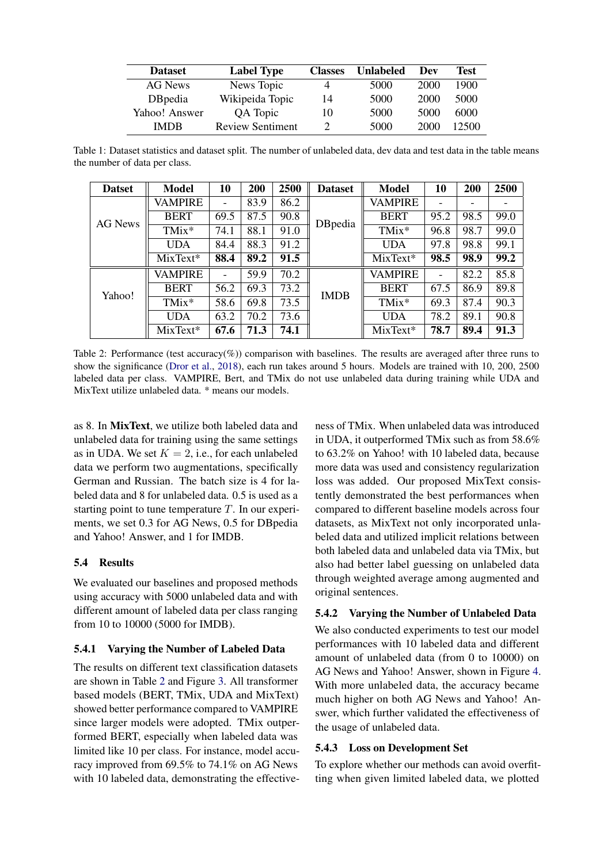<span id="page-6-0"></span>

| <b>Dataset</b>  | <b>Label Type</b>       | <b>Classes</b> | <b>Unlabeled</b> | Dev  | <b>Test</b> |
|-----------------|-------------------------|----------------|------------------|------|-------------|
| AG News         | News Topic              | 4              | 5000             | 2000 | 1900        |
| <b>D</b> Bpedia | Wikipeida Topic         | 14             | 5000             | 2000 | 5000        |
| Yahoo! Answer   | QA Topic                | 10             | 5000             | 5000 | 6000        |
| IMDR            | <b>Review Sentiment</b> | ∍              | 5000             | 2000 | 12500       |

Table 1: Dataset statistics and dataset split. The number of unlabeled data, dev data and test data in the table means the number of data per class.

<span id="page-6-1"></span>

| <b>Datset</b> | <b>Model</b>   | 10                       | 200  | 2500 | <b>Dataset</b> | <b>Model</b>   | 10                       | 200  | 2500 |
|---------------|----------------|--------------------------|------|------|----------------|----------------|--------------------------|------|------|
|               | VAMPIRE        | $\overline{\phantom{0}}$ | 83.9 | 86.2 |                | VAMPIRE        |                          |      |      |
| AG News       | <b>BERT</b>    | 69.5                     | 87.5 | 90.8 | DBpedia        | <b>BERT</b>    | 95.2                     | 98.5 | 99.0 |
|               | TMix*          | 74.1                     | 88.1 | 91.0 |                | TMix*          | 96.8                     | 98.7 | 99.0 |
|               | <b>UDA</b>     | 84.4                     | 88.3 | 91.2 |                | <b>UDA</b>     | 97.8                     | 98.8 | 99.1 |
|               | MixText*       | 88.4                     | 89.2 | 91.5 |                | $MixText*$     | 98.5                     | 98.9 | 99.2 |
|               | <b>VAMPIRE</b> |                          | 59.9 | 70.2 |                | <b>VAMPIRE</b> | $\overline{\phantom{a}}$ | 82.2 | 85.8 |
| Yahoo!        | <b>BERT</b>    | 56.2                     | 69.3 | 73.2 | <b>IMDB</b>    | <b>BERT</b>    | 67.5                     | 86.9 | 89.8 |
|               | TMix*          | 58.6                     | 69.8 | 73.5 |                | TMix*          | 69.3                     | 87.4 | 90.3 |
|               | <b>UDA</b>     | 63.2                     | 70.2 | 73.6 |                | <b>UDA</b>     | 78.2                     | 89.1 | 90.8 |
|               | MixText*       | 67.6                     | 71.3 | 74.1 |                | MixText*       | 78.7                     | 89.4 | 91.3 |

Table 2: Performance (test accuracy(%)) comparison with baselines. The results are averaged after three runs to show the significance [\(Dror et al.,](#page-9-20) [2018\)](#page-9-20), each run takes around 5 hours. Models are trained with 10, 200, 2500 labeled data per class. VAMPIRE, Bert, and TMix do not use unlabeled data during training while UDA and MixText utilize unlabeled data. \* means our models.

as 8. In MixText, we utilize both labeled data and unlabeled data for training using the same settings as in UDA. We set  $K = 2$ , i.e., for each unlabeled data we perform two augmentations, specifically German and Russian. The batch size is 4 for labeled data and 8 for unlabeled data. 0.5 is used as a starting point to tune temperature  $T$ . In our experiments, we set 0.3 for AG News, 0.5 for DBpedia and Yahoo! Answer, and 1 for IMDB.

## 5.4 Results

We evaluated our baselines and proposed methods using accuracy with 5000 unlabeled data and with different amount of labeled data per class ranging from 10 to 10000 (5000 for IMDB).

## 5.4.1 Varying the Number of Labeled Data

The results on different text classification datasets are shown in Table [2](#page-6-1) and Figure [3.](#page-7-1) All transformer based models (BERT, TMix, UDA and MixText) showed better performance compared to VAMPIRE since larger models were adopted. TMix outperformed BERT, especially when labeled data was limited like 10 per class. For instance, model accuracy improved from 69.5% to 74.1% on AG News with 10 labeled data, demonstrating the effective-

ness of TMix. When unlabeled data was introduced in UDA, it outperformed TMix such as from 58.6% to 63.2% on Yahoo! with 10 labeled data, because more data was used and consistency regularization loss was added. Our proposed MixText consistently demonstrated the best performances when compared to different baseline models across four datasets, as MixText not only incorporated unlabeled data and utilized implicit relations between both labeled data and unlabeled data via TMix, but also had better label guessing on unlabeled data through weighted average among augmented and original sentences.

## 5.4.2 Varying the Number of Unlabeled Data

We also conducted experiments to test our model performances with 10 labeled data and different amount of unlabeled data (from 0 to 10000) on AG News and Yahoo! Answer, shown in Figure [4.](#page-7-2) With more unlabeled data, the accuracy became much higher on both AG News and Yahoo! Answer, which further validated the effectiveness of the usage of unlabeled data.

## 5.4.3 Loss on Development Set

To explore whether our methods can avoid overfitting when given limited labeled data, we plotted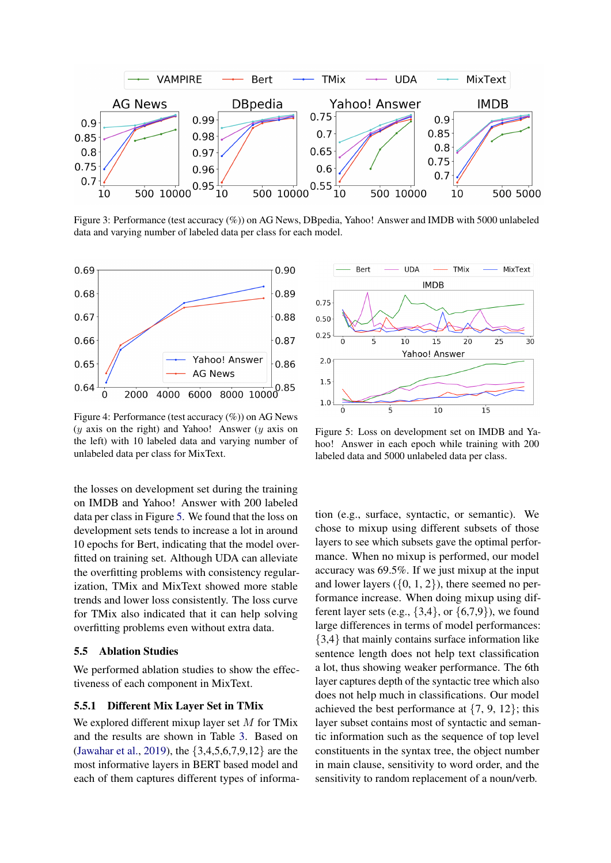<span id="page-7-1"></span>

Figure 3: Performance (test accuracy (%)) on AG News, DBpedia, Yahoo! Answer and IMDB with 5000 unlabeled data and varying number of labeled data per class for each model.

<span id="page-7-2"></span>

Figure 4: Performance (test accuracy (%)) on AG News  $(y$  axis on the right) and Yahoo! Answer  $(y$  axis on the left) with 10 labeled data and varying number of unlabeled data per class for MixText.

the losses on development set during the training on IMDB and Yahoo! Answer with 200 labeled data per class in Figure [5.](#page-7-3) We found that the loss on development sets tends to increase a lot in around 10 epochs for Bert, indicating that the model overfitted on training set. Although UDA can alleviate the overfitting problems with consistency regularization, TMix and MixText showed more stable trends and lower loss consistently. The loss curve for TMix also indicated that it can help solving overfitting problems even without extra data.

#### <span id="page-7-0"></span>5.5 Ablation Studies

We performed ablation studies to show the effectiveness of each component in MixText.

## 5.5.1 Different Mix Layer Set in TMix

We explored different mixup layer set  $M$  for TMix and the results are shown in Table [3.](#page-8-6) Based on [\(Jawahar et al.,](#page-9-16) [2019\)](#page-9-16), the {3,4,5,6,7,9,12} are the most informative layers in BERT based model and each of them captures different types of informa-

<span id="page-7-3"></span>

Figure 5: Loss on development set on IMDB and Yahoo! Answer in each epoch while training with 200 labeled data and 5000 unlabeled data per class.

tion (e.g., surface, syntactic, or semantic). We chose to mixup using different subsets of those layers to see which subsets gave the optimal performance. When no mixup is performed, our model accuracy was 69.5%. If we just mixup at the input and lower layers  $({0, 1, 2})$ , there seemed no performance increase. When doing mixup using different layer sets (e.g.,  $\{3,4\}$ , or  $\{6,7,9\}$ ), we found large differences in terms of model performances: {3,4} that mainly contains surface information like sentence length does not help text classification a lot, thus showing weaker performance. The 6th layer captures depth of the syntactic tree which also does not help much in classifications. Our model achieved the best performance at  $\{7, 9, 12\}$ ; this layer subset contains most of syntactic and semantic information such as the sequence of top level constituents in the syntax tree, the object number in main clause, sensitivity to word order, and the sensitivity to random replacement of a noun/verb.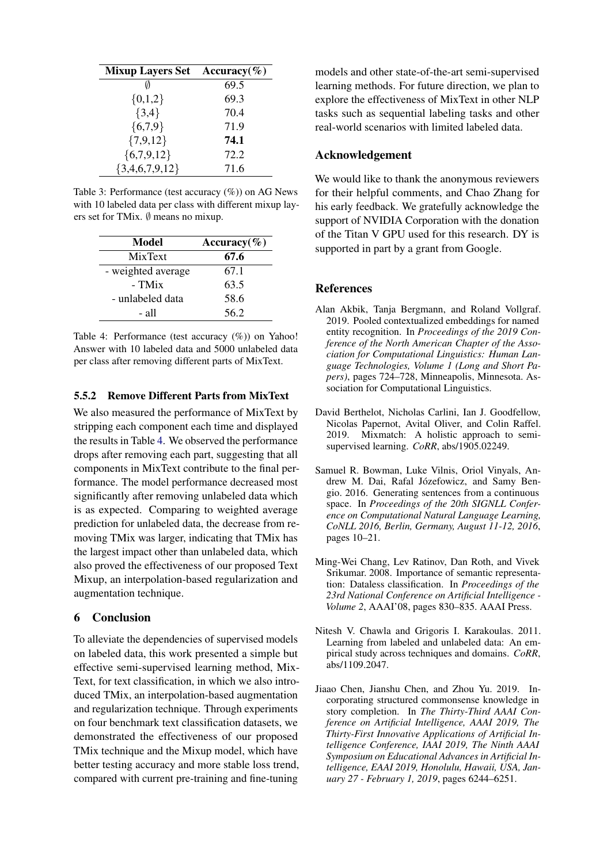<span id="page-8-6"></span>

| Mixup Layers Set Accuracy $(\%)$ |      |
|----------------------------------|------|
|                                  | 69.5 |
| ${0,1,2}$                        | 69.3 |
| $\{3,4\}$                        | 70.4 |
| ${6,7,9}$                        | 71.9 |
| ${7,9,12}$                       | 74.1 |
| ${6,7,9,12}$                     | 72.2 |
| ${3,4,6,7,9,12}$                 | 71.6 |

Table 3: Performance (test accuracy (%)) on AG News with 10 labeled data per class with different mixup layers set for TMix. ∅ means no mixup.

<span id="page-8-7"></span>

| Model              | Accuracy( $\%$ ) |
|--------------------|------------------|
| <b>MixText</b>     | 67.6             |
| - weighted average | 67.1             |
| - TMix             | 63.5             |
| - unlabeled data   | 58.6             |
| - all              | 56.2             |

Table 4: Performance (test accuracy (%)) on Yahoo! Answer with 10 labeled data and 5000 unlabeled data per class after removing different parts of MixText.

## 5.5.2 Remove Different Parts from MixText

We also measured the performance of MixText by stripping each component each time and displayed the results in Table [4.](#page-8-7) We observed the performance drops after removing each part, suggesting that all components in MixText contribute to the final performance. The model performance decreased most significantly after removing unlabeled data which is as expected. Comparing to weighted average prediction for unlabeled data, the decrease from removing TMix was larger, indicating that TMix has the largest impact other than unlabeled data, which also proved the effectiveness of our proposed Text Mixup, an interpolation-based regularization and augmentation technique.

#### 6 Conclusion

To alleviate the dependencies of supervised models on labeled data, this work presented a simple but effective semi-supervised learning method, Mix-Text, for text classification, in which we also introduced TMix, an interpolation-based augmentation and regularization technique. Through experiments on four benchmark text classification datasets, we demonstrated the effectiveness of our proposed TMix technique and the Mixup model, which have better testing accuracy and more stable loss trend, compared with current pre-training and fine-tuning

models and other state-of-the-art semi-supervised learning methods. For future direction, we plan to explore the effectiveness of MixText in other NLP tasks such as sequential labeling tasks and other real-world scenarios with limited labeled data.

## Acknowledgement

We would like to thank the anonymous reviewers for their helpful comments, and Chao Zhang for his early feedback. We gratefully acknowledge the support of NVIDIA Corporation with the donation of the Titan V GPU used for this research. DY is supported in part by a grant from Google.

### References

- <span id="page-8-3"></span>Alan Akbik, Tanja Bergmann, and Roland Vollgraf. 2019. Pooled contextualized embeddings for named entity recognition. In *Proceedings of the 2019 Conference of the North American Chapter of the Association for Computational Linguistics: Human Language Technologies, Volume 1 (Long and Short Papers)*, pages 724–728, Minneapolis, Minnesota. Association for Computational Linguistics.
- <span id="page-8-1"></span>David Berthelot, Nicholas Carlini, Ian J. Goodfellow, Nicolas Papernot, Avital Oliver, and Colin Raffel. 2019. Mixmatch: A holistic approach to semisupervised learning. *CoRR*, abs/1905.02249.
- <span id="page-8-4"></span>Samuel R. Bowman, Luke Vilnis, Oriol Vinyals, Andrew M. Dai, Rafal Józefowicz, and Samy Bengio. 2016. Generating sentences from a continuous space. In *Proceedings of the 20th SIGNLL Conference on Computational Natural Language Learning, CoNLL 2016, Berlin, Germany, August 11-12, 2016*, pages 10–21.
- <span id="page-8-5"></span>Ming-Wei Chang, Lev Ratinov, Dan Roth, and Vivek Srikumar. 2008. Importance of semantic representation: Dataless classification. In *Proceedings of the 23rd National Conference on Artificial Intelligence - Volume 2*, AAAI'08, pages 830–835. AAAI Press.
- <span id="page-8-0"></span>Nitesh V. Chawla and Grigoris I. Karakoulas. 2011. Learning from labeled and unlabeled data: An empirical study across techniques and domains. *CoRR*, abs/1109.2047.
- <span id="page-8-2"></span>Jiaao Chen, Jianshu Chen, and Zhou Yu. 2019. Incorporating structured commonsense knowledge in story completion. In *The Thirty-Third AAAI Conference on Artificial Intelligence, AAAI 2019, The Thirty-First Innovative Applications of Artificial Intelligence Conference, IAAI 2019, The Ninth AAAI Symposium on Educational Advances in Artificial Intelligence, EAAI 2019, Honolulu, Hawaii, USA, January 27 - February 1, 2019*, pages 6244–6251.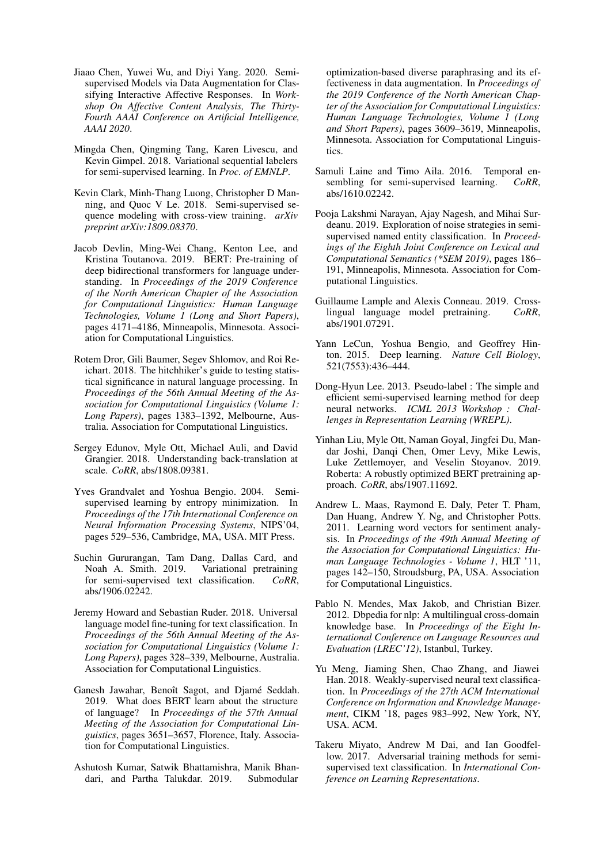- <span id="page-9-14"></span>Jiaao Chen, Yuwei Wu, and Diyi Yang. 2020. Semisupervised Models via Data Augmentation for Classifying Interactive Affective Responses. In *Workshop On Affective Content Analysis, The Thirty-Fourth AAAI Conference on Artificial Intelligence, AAAI 2020*.
- <span id="page-9-1"></span>Mingda Chen, Qingming Tang, Karen Livescu, and Kevin Gimpel. 2018. Variational sequential labelers for semi-supervised learning. In *Proc. of EMNLP*.
- <span id="page-9-12"></span>Kevin Clark, Minh-Thang Luong, Christopher D Manning, and Quoc V Le. 2018. Semi-supervised sequence modeling with cross-view training. *arXiv preprint arXiv:1809.08370*.
- <span id="page-9-7"></span>Jacob Devlin, Ming-Wei Chang, Kenton Lee, and Kristina Toutanova. 2019. BERT: Pre-training of deep bidirectional transformers for language understanding. In *Proceedings of the 2019 Conference of the North American Chapter of the Association for Computational Linguistics: Human Language Technologies, Volume 1 (Long and Short Papers)*, pages 4171–4186, Minneapolis, Minnesota. Association for Computational Linguistics.
- <span id="page-9-20"></span>Rotem Dror, Gili Baumer, Segev Shlomov, and Roi Reichart. 2018. The hitchhiker's guide to testing statistical significance in natural language processing. In *Proceedings of the 56th Annual Meeting of the Association for Computational Linguistics (Volume 1: Long Papers)*, pages 1383–1392, Melbourne, Australia. Association for Computational Linguistics.
- <span id="page-9-17"></span>Sergey Edunov, Myle Ott, Michael Auli, and David Grangier. 2018. Understanding back-translation at scale. *CoRR*, abs/1808.09381.
- <span id="page-9-4"></span>Yves Grandvalet and Yoshua Bengio. 2004. Semisupervised learning by entropy minimization. In *Proceedings of the 17th International Conference on Neural Information Processing Systems*, NIPS'04, pages 529–536, Cambridge, MA, USA. MIT Press.
- <span id="page-9-2"></span>Suchin Gururangan, Tam Dang, Dallas Card, and Noah A. Smith. 2019. Variational pretraining for semi-supervised text classification. *CoRR*, abs/1906.02242.
- <span id="page-9-9"></span>Jeremy Howard and Sebastian Ruder. 2018. Universal language model fine-tuning for text classification. In *Proceedings of the 56th Annual Meeting of the Association for Computational Linguistics (Volume 1: Long Papers)*, pages 328–339, Melbourne, Australia. Association for Computational Linguistics.
- <span id="page-9-16"></span>Ganesh Jawahar, Benoît Sagot, and Djamé Seddah. 2019. What does BERT learn about the structure of language? In *Proceedings of the 57th Annual Meeting of the Association for Computational Linguistics*, pages 3651–3657, Florence, Italy. Association for Computational Linguistics.
- <span id="page-9-13"></span>Ashutosh Kumar, Satwik Bhattamishra, Manik Bhandari, and Partha Talukdar. 2019. Submodular

optimization-based diverse paraphrasing and its effectiveness in data augmentation. In *Proceedings of the 2019 Conference of the North American Chapter of the Association for Computational Linguistics: Human Language Technologies, Volume 1 (Long and Short Papers)*, pages 3609–3619, Minneapolis, Minnesota. Association for Computational Linguistics.

- <span id="page-9-8"></span>Samuli Laine and Timo Aila. 2016. Temporal ensembling for semi-supervised learning. *CoRR*, abs/1610.02242.
- <span id="page-9-15"></span>Pooja Lakshmi Narayan, Ajay Nagesh, and Mihai Surdeanu. 2019. Exploration of noise strategies in semisupervised named entity classification. In *Proceedings of the Eighth Joint Conference on Lexical and Computational Semantics (\*SEM 2019)*, pages 186– 191, Minneapolis, Minnesota. Association for Computational Linguistics.
- <span id="page-9-10"></span>Guillaume Lample and Alexis Conneau. 2019. Crosslingual language model pretraining. *CoRR*, abs/1901.07291.
- <span id="page-9-0"></span>Yann LeCun, Yoshua Bengio, and Geoffrey Hinton. 2015. Deep learning. *Nature Cell Biology*, 521(7553):436–444.
- <span id="page-9-3"></span>Dong-Hyun Lee. 2013. Pseudo-label : The simple and efficient semi-supervised learning method for deep neural networks. *ICML 2013 Workshop : Challenges in Representation Learning (WREPL)*.
- <span id="page-9-11"></span>Yinhan Liu, Myle Ott, Naman Goyal, Jingfei Du, Mandar Joshi, Danqi Chen, Omer Levy, Mike Lewis, Luke Zettlemoyer, and Veselin Stoyanov. 2019. Roberta: A robustly optimized BERT pretraining approach. *CoRR*, abs/1907.11692.
- <span id="page-9-19"></span>Andrew L. Maas, Raymond E. Daly, Peter T. Pham, Dan Huang, Andrew Y. Ng, and Christopher Potts. 2011. Learning word vectors for sentiment analysis. In *Proceedings of the 49th Annual Meeting of the Association for Computational Linguistics: Human Language Technologies - Volume 1*, HLT '11, pages 142–150, Stroudsburg, PA, USA. Association for Computational Linguistics.
- <span id="page-9-18"></span>Pablo N. Mendes, Max Jakob, and Christian Bizer. 2012. Dbpedia for nlp: A multilingual cross-domain knowledge base. In *Proceedings of the Eight International Conference on Language Resources and Evaluation (LREC'12)*, Istanbul, Turkey.
- <span id="page-9-5"></span>Yu Meng, Jiaming Shen, Chao Zhang, and Jiawei Han. 2018. Weakly-supervised neural text classification. In *Proceedings of the 27th ACM International Conference on Information and Knowledge Management*, CIKM '18, pages 983–992, New York, NY, USA. ACM.
- <span id="page-9-6"></span>Takeru Miyato, Andrew M Dai, and Ian Goodfellow. 2017. Adversarial training methods for semisupervised text classification. In *International Conference on Learning Representations*.